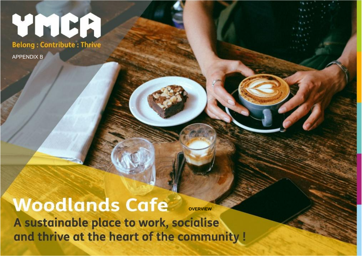# YMCA

**Belong: Contribute: Thrive** 

APPENDIX B

## **Woodlands Cafe**

**OVERVIEW**

A sustainable place to work, socialise  $\eta$  -  $\eta$  and  $\eta$  is a result of the community  $\eta$ ww.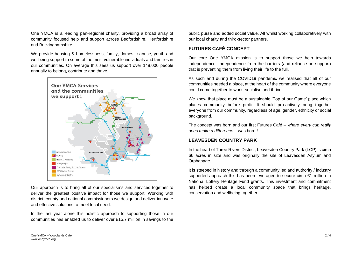One YMCA is a leading pan-regional charity, providing a broad array of community focused help and support across Bedfordshire, Hertfordshire and Buckinghamshire.

We provide housing & homelessness, family, domestic abuse, youth and wellbeing support to some of the most vulnerable individuals and families in our communities. On average this sees us support over 148,000 people annually to belong, contribute and thrive.



Our approach is to bring all of our specialisms and services together to deliver the greatest positive impact for those we support. Working with district, county and national commissioners we design and deliver innovate and effective solutions to meet local need.

In the last year alone this holistic approach to supporting those in our communities has enabled us to deliver over £15.7 million in savings to the

public purse and added social value. All whilst working collaboratively with our local charity and third-sector partners.

#### **FUTURES CAFÉ CONCEPT**

Our core One YMCA mission is to support those we help towards independence. Independence from the barriers (and reliance on support) that is preventing them from living their life to the full.

As such and during the COVID19 pandemic we realised that all of our communities needed a place, at the heart of the community where everyone could come together to work, socialise and thrive.

We knew that place must be a sustainable 'Top of our Game' place which places community before profit. It should pro-actively bring together everyone from our community, regardless of age, gender, ethnicity or social background.

The concept was born and our first Futures Café – *where every cup really does make a difference* – was born !

### **LEAVESDEN COUNTRY PARK**

In the heart of Three Rivers District, Leavesden Country Park (LCP) is circa 66 acres in size and was originally the site of Leavesden Asylum and Orphanage.

It is steeped in history and through a community led and authority / industry supported approach this has been leveraged to secure circa £1 million in National Lottery Heritage Fund grants. This investment and commitment has helped create a local community space that brings heritage, conservation and wellbeing together.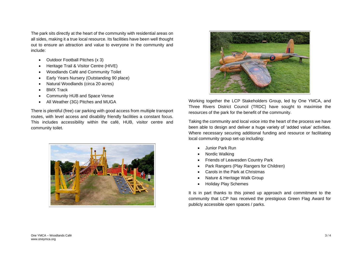The park sits directly at the heart of the community with residential areas on all sides, making it a true local resource. Its facilities have been well thought out to ensure an attraction and value to everyone in the community and include:

- Outdoor Football Pitches (x 3)
- Heritage Trail & Visitor Centre (HIVE)
- Woodlands Café and Community Toilet
- Early Years Nursery (Outstanding 90 place)
- Natural Woodlands (circa 20 acres)
- BMX Track
- Community HUB and Space Venue
- All Weather (3G) Pitches and MUGA

There is plentiful (free) car parking with good access from multiple transport routes, with level access and disability friendly facilities a constant focus. This includes accessibility within the café, HUB, visitor centre and community toilet.





Working together the LCP Stakeholders Group, led by One YMCA, and Three Rivers District Council (TRDC) have sought to maximise the resources of the park for the benefit of the community.

Taking the community and local voice into the heart of the process we have been able to design and deliver a huge variety of 'added value' activities. Where necessary securing additional funding and resource or facilitating local community group set-up including:

- Junior Park Run
- Nordic Walking
- Friends of Leavesden Country Park
- Park Rangers (Play Rangers for Children)
- Carols in the Park at Christmas
- Nature & Heritage Walk Group
- Holiday Play Schemes

It is in part thanks to this joined up approach and commitment to the community that LCP has received the prestigious Green Flag Award for publicly accessible open spaces / parks.